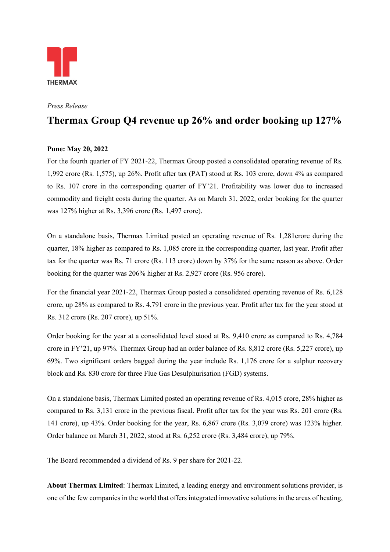

*Press Release* 

## **Thermax Group Q4 revenue up 26% and order booking up 127%**

## **Pune: May 20, 2022**

For the fourth quarter of FY 2021-22, Thermax Group posted a consolidated operating revenue of Rs. 1,992 crore (Rs. 1,575), up 26%. Profit after tax (PAT) stood at Rs. 103 crore, down 4% as compared to Rs. 107 crore in the corresponding quarter of FY'21. Profitability was lower due to increased commodity and freight costs during the quarter. As on March 31, 2022, order booking for the quarter was 127% higher at Rs. 3,396 crore (Rs. 1,497 crore).

On a standalone basis, Thermax Limited posted an operating revenue of Rs. 1,281crore during the quarter, 18% higher as compared to Rs. 1,085 crore in the corresponding quarter, last year. Profit after tax for the quarter was Rs. 71 crore (Rs. 113 crore) down by 37% for the same reason as above. Order booking for the quarter was 206% higher at Rs. 2,927 crore (Rs. 956 crore).

For the financial year 2021-22, Thermax Group posted a consolidated operating revenue of Rs. 6,128 crore, up 28% as compared to Rs. 4,791 crore in the previous year. Profit after tax for the year stood at Rs. 312 crore (Rs. 207 crore), up 51%.

Order booking for the year at a consolidated level stood at Rs. 9,410 crore as compared to Rs. 4,784 crore in FY'21, up 97%. Thermax Group had an order balance of Rs. 8,812 crore (Rs. 5,227 crore), up 69%. Two significant orders bagged during the year include Rs. 1,176 crore for a sulphur recovery block and Rs. 830 crore for three Flue Gas Desulphurisation (FGD) systems.

On a standalone basis, Thermax Limited posted an operating revenue of Rs. 4,015 crore, 28% higher as compared to Rs. 3,131 crore in the previous fiscal. Profit after tax for the year was Rs. 201 crore (Rs. 141 crore), up 43%. Order booking for the year, Rs. 6,867 crore (Rs. 3,079 crore) was 123% higher. Order balance on March 31, 2022, stood at Rs. 6,252 crore (Rs. 3,484 crore), up 79%.

The Board recommended a dividend of Rs. 9 per share for 2021-22.

**About Thermax Limited**: Thermax Limited, a leading energy and environment solutions provider, is one of the few companies in the world that offers integrated innovative solutions in the areas of heating,